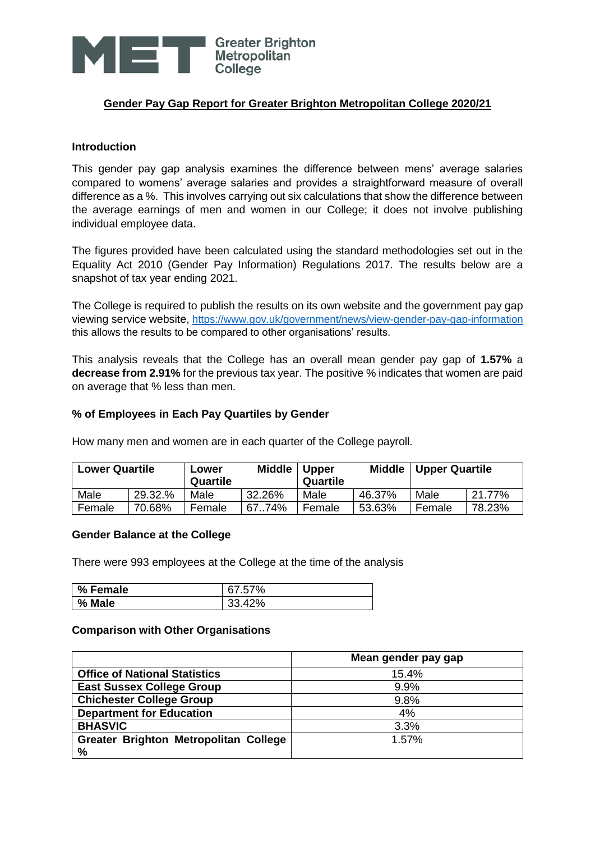

# **Gender Pay Gap Report for Greater Brighton Metropolitan College 2020/21**

### **Introduction**

This gender pay gap analysis examines the difference between mens' average salaries compared to womens' average salaries and provides a straightforward measure of overall difference as a %. This involves carrying out six calculations that show the difference between the average earnings of men and women in our College; it does not involve publishing individual employee data.

The figures provided have been calculated using the standard methodologies set out in the Equality Act 2010 (Gender Pay Information) Regulations 2017. The results below are a snapshot of tax year ending 2021.

The College is required to publish the results on its own website and the government pay gap viewing service website, <https://www.gov.uk/government/news/view-gender-pay-gap-information> this allows the results to be compared to other organisations' results.

This analysis reveals that the College has an overall mean gender pay gap of **1.57%** a **decrease from 2.91%** for the previous tax year. The positive % indicates that women are paid on average that % less than men.

### **% of Employees in Each Pay Quartiles by Gender**

How many men and women are in each quarter of the College payroll.

| <b>Lower Quartile</b> |         | Lower<br>Quartile | <b>Middle</b> | <b>Upper</b><br>Quartile | <b>Middle</b> | <b>Upper Quartile</b> |        |
|-----------------------|---------|-------------------|---------------|--------------------------|---------------|-----------------------|--------|
| Male                  | 29.32.% | Male              | 32.26%        | Male                     | 46.37%        | Male                  | 21.77% |
| Female                | 70.68%  | Female            | 6774%         | Female                   | 53.63%        | Female                | 78.23% |

#### **Gender Balance at the College**

There were 993 employees at the College at the time of the analysis

| % Female | 67.57% |
|----------|--------|
| % Male   | 33.42% |

#### **Comparison with Other Organisations**

|                                       | Mean gender pay gap |
|---------------------------------------|---------------------|
| <b>Office of National Statistics</b>  | 15.4%               |
| <b>East Sussex College Group</b>      | 9.9%                |
| <b>Chichester College Group</b>       | 9.8%                |
| <b>Department for Education</b>       | 4%                  |
| <b>BHASVIC</b>                        | 3.3%                |
| Greater Brighton Metropolitan College | 1.57%               |
| %                                     |                     |